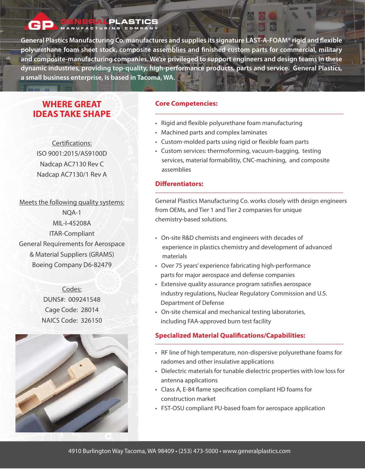#### **ALPLASTICS** SENERALPLAST

General Plastics Manufacturing Co. manufactures and supplies its signature LAST-A-FOAM<sup>®</sup> rigid and flexible **polyurethane foam sheet stock, composite assemblies and nished custom parts for commercial, military and composite-manufacturing companies. We're privileged to support engineers and design teams in these dynamic industries, providing top-quality, high-performance products, parts and service. General Plastics, a small business enterprise, is based in Tacoma, WA.**

# **WHERE GREAT IDEAS TAKE SHAPE**

Certifications: ISO 9001:2015/AS9100D Nadcap AC7130 Rev C Nadcap AC7130/1 Rev A

Meets the following quality systems: NQA-1 MIL-I-45208A ITAR-Compliant General Requirements for Aerospace & Material Suppliers (GRAMS) Boeing Company D6-82479





## **Core Competencies:**

- Rigid and flexible polyurethane foam manufacturing
- Machined parts and complex laminates
- Custom-molded parts using rigid or flexible foam parts
- Custom services: thermoforming, vacuum-bagging, testing services, material formabilitiy, CNC-machining, and composite assemblies

## **Differentiators:**

General Plastics Manufacturing Co. works closely with design engineers from OEMs, and Tier 1 and Tier 2 companies for unique chemistry-based solutions.

- On-site R&D chemists and engineers with decades of experience in plastics chemistry and development of advanced materials
- Over 75 years' experience fabricating high-performance parts for major aerospace and defense companies
- Extensive quality assurance program satisfies aerospace industry regulations, Nuclear Regulatory Commission and U.S. Department of Defense
- On-site chemical and mechanical testing laboratories, including FAA-approved burn test facility

## **Specialized Material Qualifications/Capabilities:**

- RF line of high temperature, non-dispersive polyurethane foams for radomes and other insulative applications
- Dielectric materials for tunable dielectric properties with low loss for antenna applications
- Class A, E-84 flame specification compliant HD foams for construction market
- FST-OSU compliant PU-based foam for aerospace application